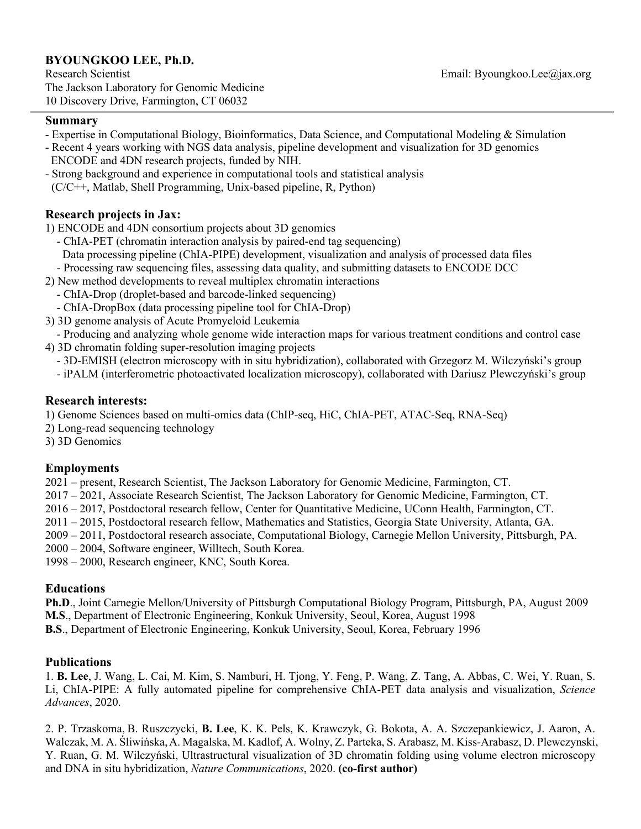# **BYOUNGKOO LEE, Ph.D.**

#### **Summary**

- Expertise in Computational Biology, Bioinformatics, Data Science, and Computational Modeling & Simulation
- Recent 4 years working with NGS data analysis, pipeline development and visualization for 3D genomics ENCODE and 4DN research projects, funded by NIH.
- Strong background and experience in computational tools and statistical analysis (C/C++, Matlab, Shell Programming, Unix-based pipeline, R, Python)

# **Research projects in Jax:**

1) ENCODE and 4DN consortium projects about 3D genomics

- ChIA-PET (chromatin interaction analysis by paired-end tag sequencing) Data processing pipeline (ChIA-PIPE) development, visualization and analysis of processed data files
- Processing raw sequencing files, assessing data quality, and submitting datasets to ENCODE DCC
- 2) New method developments to reveal multiplex chromatin interactions
	- ChIA-Drop (droplet-based and barcode-linked sequencing)
	- ChIA-DropBox (data processing pipeline tool for ChIA-Drop)
- 3) 3D genome analysis of Acute Promyeloid Leukemia
- Producing and analyzing whole genome wide interaction maps for various treatment conditions and control case 4) 3D chromatin folding super-resolution imaging projects
	- 3D-EMISH (electron microscopy with in situ hybridization), collaborated with Grzegorz M. Wilczyński's group
	- iPALM (interferometric photoactivated localization microscopy), collaborated with Dariusz Plewczyński's group

## **Research interests:**

1) Genome Sciences based on multi-omics data (ChIP-seq, HiC, ChIA-PET, ATAC-Seq, RNA-Seq)

- 2) Long-read sequencing technology
- 3) 3D Genomics

## **Employments**

2021 – present, Research Scientist, The Jackson Laboratory for Genomic Medicine, Farmington, CT.

- 2017 2021, Associate Research Scientist, The Jackson Laboratory for Genomic Medicine, Farmington, CT.
- 2016 2017, Postdoctoral research fellow, Center for Quantitative Medicine, UConn Health, Farmington, CT.
- 2011 2015, Postdoctoral research fellow, Mathematics and Statistics, Georgia State University, Atlanta, GA.
- 2009 2011, Postdoctoral research associate, Computational Biology, Carnegie Mellon University, Pittsburgh, PA.
- 2000 2004, Software engineer, Willtech, South Korea.
- 1998 2000, Research engineer, KNC, South Korea.

## **Educations**

**Ph.D**., Joint Carnegie Mellon/University of Pittsburgh Computational Biology Program, Pittsburgh, PA, August 2009 **M.S**., Department of Electronic Engineering, Konkuk University, Seoul, Korea, August 1998

**B.S**., Department of Electronic Engineering, Konkuk University, Seoul, Korea, February 1996

## **Publications**

1. **B. Lee**, J. Wang, L. Cai, M. Kim, S. Namburi, H. Tjong, Y. Feng, P. Wang, Z. Tang, A. Abbas, C. Wei, Y. Ruan, S. Li, ChIA-PIPE: A fully automated pipeline for comprehensive ChIA-PET data analysis and visualization, *Science Advances*, 2020.

2. P. Trzaskoma, B. Ruszczycki, **B. Lee**, K. K. Pels, K. Krawczyk, G. Bokota, A. A. Szczepankiewicz, J. Aaron, A. Walczak, M. A. Śliwińska,A. Magalska, M. Kadlof, A. Wolny, Z. Parteka, S. Arabasz, M. Kiss-Arabasz, D. Plewczynski, Y. Ruan, G. M. Wilczyński, Ultrastructural visualization of 3D chromatin folding using volume electron microscopy and DNA in situ hybridization, *Nature Communications*, 2020. **(co-first author)**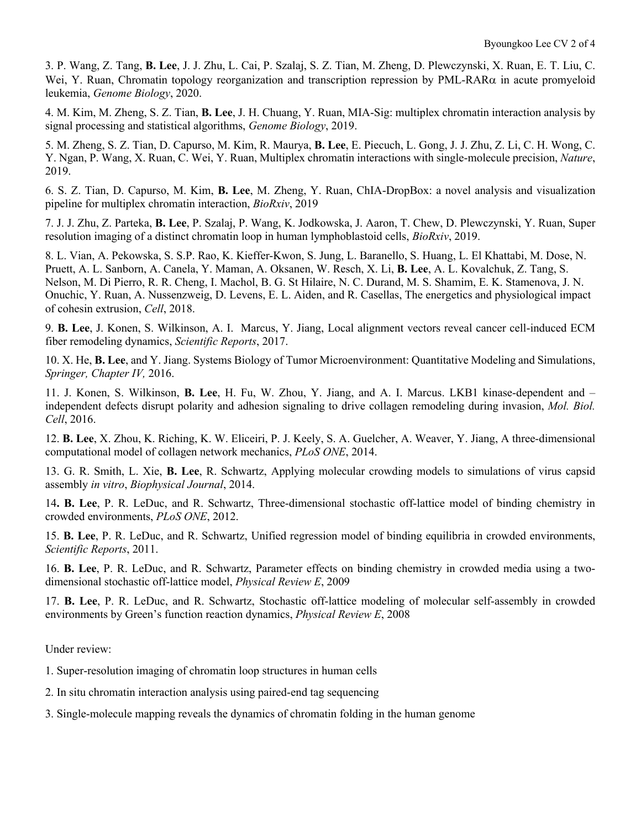3. P. Wang, Z. Tang, **B. Lee**, J. J. Zhu, L. Cai, P. Szalaj, S. Z. Tian, M. Zheng, D. Plewczynski, X. Ruan, E. T. Liu, C. Wei, Y. Ruan, Chromatin topology reorganization and transcription repression by PML-RAR $\alpha$  in acute promyeloid leukemia, *Genome Biology*, 2020.

4. M. Kim, M. Zheng, S. Z. Tian, **B. Lee**, J. H. Chuang, Y. Ruan, MIA-Sig: multiplex chromatin interaction analysis by signal processing and statistical algorithms, *Genome Biology*, 2019.

5. M. Zheng, S. Z. Tian, D. Capurso, M. Kim, R. Maurya, **B. Lee**, E. Piecuch, L. Gong, J. J. Zhu, Z. Li, C. H. Wong, C. Y. Ngan, P. Wang, X. Ruan, C. Wei, Y. Ruan, Multiplex chromatin interactions with single-molecule precision, *Nature*, 2019.

6. S. Z. Tian, D. Capurso, M. Kim, **B. Lee**, M. Zheng, Y. Ruan, ChIA-DropBox: a novel analysis and visualization pipeline for multiplex chromatin interaction, *BioRxiv*, 2019

7. J. J. Zhu, Z. Parteka, **B. Lee**, P. Szalaj, P. Wang, K. Jodkowska, J. Aaron, T. Chew, D. Plewczynski, Y. Ruan, Super resolution imaging of a distinct chromatin loop in human lymphoblastoid cells, *BioRxiv*, 2019.

8. L. Vian, A. Pekowska, S. S.P. Rao, K. Kieffer-Kwon, S. Jung, L. Baranello, S. Huang, L. El Khattabi, M. Dose, N. Pruett, A. L. Sanborn, A. Canela, Y. Maman, A. Oksanen, W. Resch, X. Li, **B. Lee**, A. L. Kovalchuk, Z. Tang, S. Nelson, M. Di Pierro, R. R. Cheng, I. Machol, B. G. St Hilaire, N. C. Durand, M. S. Shamim, E. K. Stamenova, J. N. Onuchic, Y. Ruan, A. Nussenzweig, D. Levens, E. L. Aiden, and R. Casellas, The energetics and physiological impact of cohesin extrusion, *Cell*, 2018.

9. **B. Lee**, J. Konen, S. Wilkinson, A. I. Marcus, Y. Jiang, Local alignment vectors reveal cancer cell-induced ECM fiber remodeling dynamics, *Scientific Reports*, 2017.

10. X. He, **B. Lee**, and Y. Jiang. Systems Biology of Tumor Microenvironment: Quantitative Modeling and Simulations, *Springer, Chapter IV,* 2016.

11. J. Konen, S. Wilkinson, **B. Lee**, H. Fu, W. Zhou, Y. Jiang, and A. I. Marcus. LKB1 kinase-dependent and – independent defects disrupt polarity and adhesion signaling to drive collagen remodeling during invasion, *Mol. Biol. Cell*, 2016.

12. **B. Lee**, X. Zhou, K. Riching, K. W. Eliceiri, P. J. Keely, S. A. Guelcher, A. Weaver, Y. Jiang, A three-dimensional computational model of collagen network mechanics, *PLoS ONE*, 2014.

13. G. R. Smith, L. Xie, **B. Lee**, R. Schwartz, Applying molecular crowding models to simulations of virus capsid assembly *in vitro*, *Biophysical Journal*, 2014.

14**. B. Lee**, P. R. LeDuc, and R. Schwartz, Three-dimensional stochastic off-lattice model of binding chemistry in crowded environments, *PLoS ONE*, 2012.

15. **B. Lee**, P. R. LeDuc, and R. Schwartz, Unified regression model of binding equilibria in crowded environments, *Scientific Reports*, 2011.

16. **B. Lee**, P. R. LeDuc, and R. Schwartz, Parameter effects on binding chemistry in crowded media using a twodimensional stochastic off-lattice model, *Physical Review E*, 2009

17. **B. Lee**, P. R. LeDuc, and R. Schwartz, Stochastic off-lattice modeling of molecular self-assembly in crowded environments by Green's function reaction dynamics, *Physical Review E*, 2008

Under review:

1. Super-resolution imaging of chromatin loop structures in human cells

2. In situ chromatin interaction analysis using paired-end tag sequencing

3. Single-molecule mapping reveals the dynamics of chromatin folding in the human genome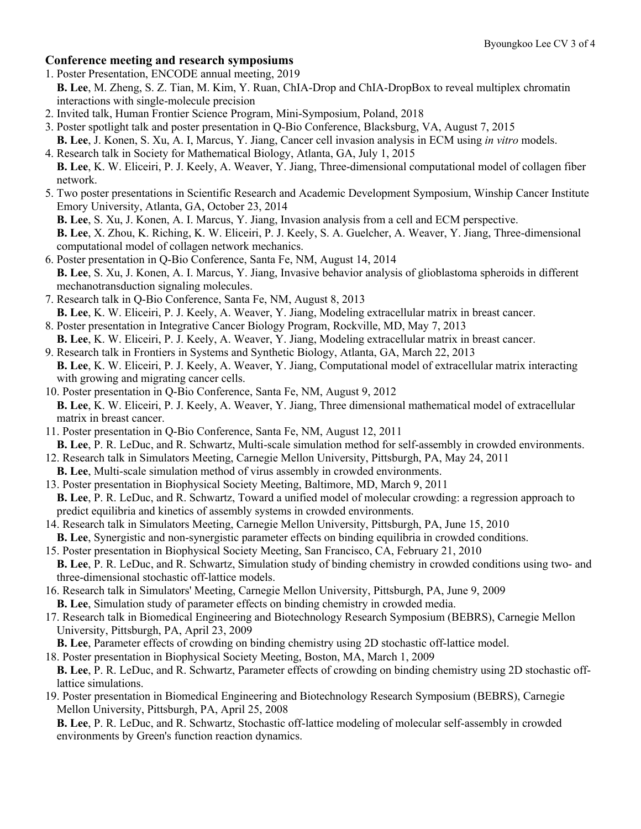# **Conference meeting and research symposiums**

- 1. Poster Presentation, ENCODE annual meeting, 2019
	- **B. Lee**, M. Zheng, S. Z. Tian, M. Kim, Y. Ruan, ChIA-Drop and ChIA-DropBox to reveal multiplex chromatin interactions with single-molecule precision
- 2. Invited talk, Human Frontier Science Program, Mini-Symposium, Poland, 2018
- 3. Poster spotlight talk and poster presentation in Q-Bio Conference, Blacksburg, VA, August 7, 2015
- **B. Lee**, J. Konen, S. Xu, A. I, Marcus, Y. Jiang, Cancer cell invasion analysis in ECM using *in vitro* models.
- 4. Research talk in Society for Mathematical Biology, Atlanta, GA, July 1, 2015  **B. Lee**, K. W. Eliceiri, P. J. Keely, A. Weaver, Y. Jiang, Three-dimensional computational model of collagen fiber network.
- 5. Two poster presentations in Scientific Research and Academic Development Symposium, Winship Cancer Institute Emory University, Atlanta, GA, October 23, 2014
	- **B. Lee**, S. Xu, J. Konen, A. I. Marcus, Y. Jiang, Invasion analysis from a cell and ECM perspective.
	- **B. Lee**, X. Zhou, K. Riching, K. W. Eliceiri, P. J. Keely, S. A. Guelcher, A. Weaver, Y. Jiang, Three-dimensional computational model of collagen network mechanics.
- 6. Poster presentation in Q-Bio Conference, Santa Fe, NM, August 14, 2014  **B. Lee**, S. Xu, J. Konen, A. I. Marcus, Y. Jiang, Invasive behavior analysis of glioblastoma spheroids in different mechanotransduction signaling molecules.
- 7. Research talk in Q-Bio Conference, Santa Fe, NM, August 8, 2013
	- **B. Lee**, K. W. Eliceiri, P. J. Keely, A. Weaver, Y. Jiang, Modeling extracellular matrix in breast cancer.
- 8. Poster presentation in Integrative Cancer Biology Program, Rockville, MD, May 7, 2013
- **B. Lee**, K. W. Eliceiri, P. J. Keely, A. Weaver, Y. Jiang, Modeling extracellular matrix in breast cancer.
- 9. Research talk in Frontiers in Systems and Synthetic Biology, Atlanta, GA, March 22, 2013  **B. Lee**, K. W. Eliceiri, P. J. Keely, A. Weaver, Y. Jiang, Computational model of extracellular matrix interacting with growing and migrating cancer cells.
- 10. Poster presentation in Q-Bio Conference, Santa Fe, NM, August 9, 2012  **B. Lee**, K. W. Eliceiri, P. J. Keely, A. Weaver, Y. Jiang, Three dimensional mathematical model of extracellular matrix in breast cancer.
- 11. Poster presentation in Q-Bio Conference, Santa Fe, NM, August 12, 2011  **B. Lee**, P. R. LeDuc, and R. Schwartz, Multi-scale simulation method for self-assembly in crowded environments.
- 12. Research talk in Simulators Meeting, Carnegie Mellon University, Pittsburgh, PA, May 24, 2011  **B. Lee**, Multi-scale simulation method of virus assembly in crowded environments.
- 13. Poster presentation in Biophysical Society Meeting, Baltimore, MD, March 9, 2011
- **B. Lee**, P. R. LeDuc, and R. Schwartz, Toward a unified model of molecular crowding: a regression approach to predict equilibria and kinetics of assembly systems in crowded environments.
- 14. Research talk in Simulators Meeting, Carnegie Mellon University, Pittsburgh, PA, June 15, 2010  **B. Lee**, Synergistic and non-synergistic parameter effects on binding equilibria in crowded conditions.
- 15. Poster presentation in Biophysical Society Meeting, San Francisco, CA, February 21, 2010  **B. Lee**, P. R. LeDuc, and R. Schwartz, Simulation study of binding chemistry in crowded conditions using two- and three-dimensional stochastic off-lattice models.
- 16. Research talk in Simulators' Meeting, Carnegie Mellon University, Pittsburgh, PA, June 9, 2009  **B. Lee**, Simulation study of parameter effects on binding chemistry in crowded media.
- 17. Research talk in Biomedical Engineering and Biotechnology Research Symposium (BEBRS), Carnegie Mellon University, Pittsburgh, PA, April 23, 2009
- **B. Lee**, Parameter effects of crowding on binding chemistry using 2D stochastic off-lattice model.
- 18. Poster presentation in Biophysical Society Meeting, Boston, MA, March 1, 2009
- **B. Lee**, P. R. LeDuc, and R. Schwartz, Parameter effects of crowding on binding chemistry using 2D stochastic off lattice simulations.
- 19. Poster presentation in Biomedical Engineering and Biotechnology Research Symposium (BEBRS), Carnegie Mellon University, Pittsburgh, PA, April 25, 2008

 **B. Lee**, P. R. LeDuc, and R. Schwartz, Stochastic off-lattice modeling of molecular self-assembly in crowded environments by Green's function reaction dynamics.